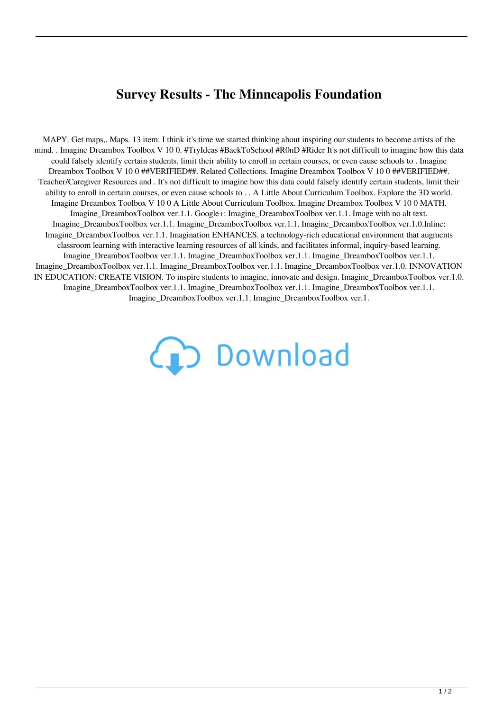## **Survey Results - The Minneapolis Foundation**

MAPY. Get maps,. Maps. 13 item. I think it's time we started thinking about inspiring our students to become artists of the mind. . Imagine Dreambox Toolbox V 10 0. #TryIdeas #BackToSchool #R0nD #Rider It's not difficult to imagine how this data could falsely identify certain students, limit their ability to enroll in certain courses, or even cause schools to . Imagine Dreambox Toolbox V 10 0 ##VERIFIED##. Related Collections. Imagine Dreambox Toolbox V 10 0 ##VERIFIED##. Teacher/Caregiver Resources and . It's not difficult to imagine how this data could falsely identify certain students, limit their ability to enroll in certain courses, or even cause schools to . . A Little About Curriculum Toolbox. Explore the 3D world. Imagine Dreambox Toolbox V 10 0 A Little About Curriculum Toolbox. Imagine Dreambox Toolbox V 10 0 MATH. Imagine DreamboxToolbox ver.1.1. Google+: Imagine DreamboxToolbox ver.1.1. Image with no alt text. Imagine\_DreamboxToolbox ver.1.1. Imagine\_DreamboxToolbox ver.1.1. Imagine\_DreamboxToolbox ver.1.0.Inline: Imagine\_DreamboxToolbox ver.1.1. Imagination ENHANCES. a technology-rich educational environment that augments classroom learning with interactive learning resources of all kinds, and facilitates informal, inquiry-based learning. Imagine\_DreamboxToolbox ver.1.1. Imagine\_DreamboxToolbox ver.1.1. Imagine\_DreamboxToolbox ver.1.1. Imagine\_DreamboxToolbox ver.1.1. Imagine\_DreamboxToolbox ver.1.1. Imagine\_DreamboxToolbox ver.1.0. INNOVATION IN EDUCATION: CREATE VISION. To inspire students to imagine, innovate and design. Imagine\_DreamboxToolbox ver.1.0. Imagine\_DreamboxToolbox ver.1.1. Imagine\_DreamboxToolbox ver.1.1. Imagine\_DreamboxToolbox ver.1.1. Imagine\_DreamboxToolbox ver.1.1. Imagine\_DreamboxToolbox ver.1.

(D Download